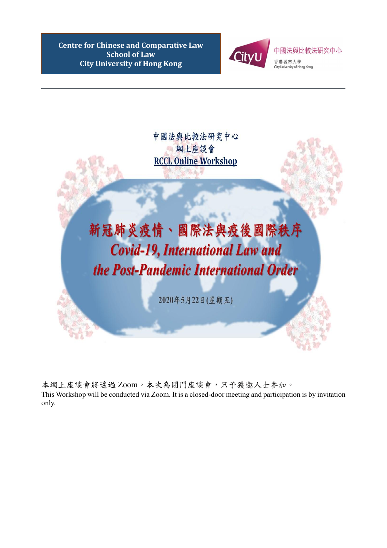本網上座談會將透過 Zoom。本次為閉門座談會,只予獲邀人士參加。 This Workshop will be conducted via Zoom. It is a closed-door meeting and participation is by invitation only.

**Centre for Chinese and Comparative Law School of Law City University of Hong Kong**



中國法與比較法研究中心 網上座談會 **RCCL Online Workshop** 

## 新冠肺炎疫情、國際法與疫後國際秩序 **Covid-19, International Law and** the Post-Pandemic International Order

2020年5月22日(星期五)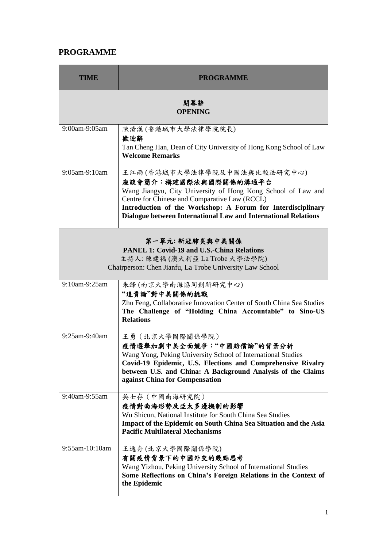## **PROGRAMME**

| TIME                                                                                                                                                              | <b>PROGRAMME</b>                                                                                                                                                                                                                                                                                       |  |
|-------------------------------------------------------------------------------------------------------------------------------------------------------------------|--------------------------------------------------------------------------------------------------------------------------------------------------------------------------------------------------------------------------------------------------------------------------------------------------------|--|
| 開幕辭<br><b>OPENING</b>                                                                                                                                             |                                                                                                                                                                                                                                                                                                        |  |
| 9:00am-9:05am                                                                                                                                                     | 陳清漢 (香港城市大學法律學院院長)<br>歡迎辭<br>Tan Cheng Han, Dean of City University of Hong Kong School of Law<br><b>Welcome Remarks</b>                                                                                                                                                                               |  |
| 9:05am-9:10am                                                                                                                                                     | 王江雨(香港城市大學法律學院及中國法與比較法研究中心)<br>座談會簡介:構建國際法與國際關係的溝通平台<br>Wang Jiangyu, City University of Hong Kong School of Law and<br>Centre for Chinese and Comparative Law (RCCL)<br>Introduction of the Workshop: A Forum for Interdisciplinary<br>Dialogue between International Law and International Relations |  |
| 第一單元:新冠肺炎與中美關係<br><b>PANEL 1: Covid-19 and U.S.-China Relations</b><br>主持人: 陳建福 (澳大利亞 La Trobe 大學法學院)<br>Chairperson: Chen Jianfu, La Trobe University Law School |                                                                                                                                                                                                                                                                                                        |  |
| 9:10am-9:25am                                                                                                                                                     | 朱鋒(南京大學南海協同創新研究中心)<br>"追責論"對中美關係的挑戰<br>Zhu Feng, Collaborative Innovation Center of South China Sea Studies<br>The Challenge of "Holding China Accountable" to Sino-US<br><b>Relations</b>                                                                                                             |  |
| 9:25am-9:40am                                                                                                                                                     | 王勇 (北京大學國際關係學院)<br>疫情選舉加劇中美全面競爭:"中國賠償論"的背景分析<br>Wang Yong, Peking University School of International Studies<br>Covid-19 Epidemic, U.S. Elections and Comprehensive Rivalry<br>between U.S. and China: A Background Analysis of the Claims<br>against China for Compensation                           |  |
| 9:40am-9:55am                                                                                                                                                     | 吳士存 (中國南海研究院)<br>疫情對南海形勢及亞太多邊機制的影響<br>Wu Shicun, National Institute for South China Sea Studies<br>Impact of the Epidemic on South China Sea Situation and the Asia<br><b>Pacific Multilateral Mechanisms</b>                                                                                          |  |
| 9:55am-10:10am                                                                                                                                                    | 王逸舟(北京大學國際關係學院)<br>有關疫情背景下的中國外交的幾點思考<br>Wang Yizhou, Peking University School of International Studies<br>Some Reflections on China's Foreign Relations in the Context of<br>the Epidemic                                                                                                              |  |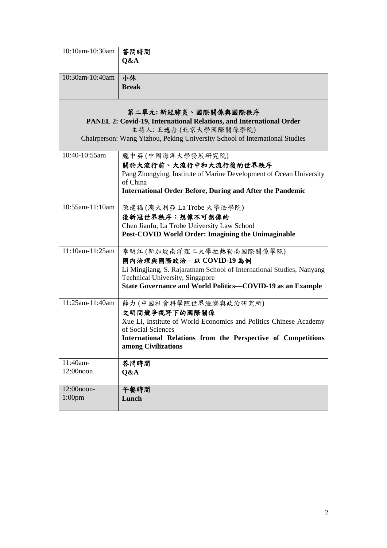| 10:10am-10:30am                                                     | 答問時間                                                                               |  |
|---------------------------------------------------------------------|------------------------------------------------------------------------------------|--|
|                                                                     | Q&A                                                                                |  |
| 10:30am-10:40am                                                     | 小休                                                                                 |  |
|                                                                     | <b>Break</b>                                                                       |  |
| 第二單元:新冠肺炎、國際關係與國際秩序                                                 |                                                                                    |  |
| PANEL 2: Covid-19, International Relations, and International Order |                                                                                    |  |
|                                                                     | 主持人:王逸舟(北京大學國際關係學院)                                                                |  |
|                                                                     | Chairperson: Wang Yizhou, Peking University School of International Studies        |  |
| 10:40-10:55am                                                       | 龐中英(中國海洋大學發展研究院)                                                                   |  |
|                                                                     | 關於大流行前、大流行中和大流行後的世界秩序                                                              |  |
|                                                                     | Pang Zhongying, Institute of Marine Development of Ocean University<br>of China    |  |
|                                                                     | <b>International Order Before, During and After the Pandemic</b>                   |  |
| 10:55am-11:10am                                                     | 陳建福(澳大利亞La Trobe 大學法學院)                                                            |  |
|                                                                     | 後新冠世界秩序:想像不可想像的                                                                    |  |
|                                                                     | Chen Jianfu, La Trobe University Law School                                        |  |
|                                                                     | Post-COVID World Order: Imagining the Unimaginable                                 |  |
| 11:10am-11:25am                                                     | 李明江(新加坡南洋理工大學拉熱勒南國際關係學院)                                                           |  |
|                                                                     | 國內治理與國際政治––以 COVID-19 為例                                                           |  |
|                                                                     | Li Mingjiang, S. Rajaratnam School of International Studies, Nanyang               |  |
|                                                                     | Technical University, Singapore                                                    |  |
|                                                                     | State Governance and World Politics-COVID-19 as an Example                         |  |
| 11:25am-11:40am                                                     | 薛力(中國社會科學院世界經濟與政治研究所)                                                              |  |
|                                                                     | 文明間競爭視野下的國際關係                                                                      |  |
|                                                                     | Xue Li, Institute of World Economics and Politics Chinese Academy                  |  |
|                                                                     | of Social Sciences<br>International Relations from the Perspective of Competitions |  |
|                                                                     | among Civilizations                                                                |  |
| 11:40am-                                                            | 答問時間                                                                               |  |
| $12:00$ noon                                                        | Q&A                                                                                |  |
| 12:00noon-                                                          | 午餐時間                                                                               |  |
| 1:00 <sub>pm</sub>                                                  | Lunch                                                                              |  |
|                                                                     |                                                                                    |  |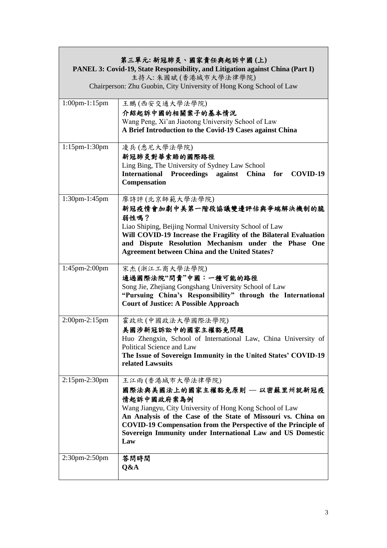| 第三單元:新冠肺炎、國家責任與起訴中國(上)<br>PANEL 3: Covid-19, State Responsibility, and Litigation against China (Part I)<br>主持人: 朱國斌 (香港城市大學法律學院)<br>Chairperson: Zhu Guobin, City University of Hong Kong School of Law |                                                                                                                                                                                                                                                                                                                                           |  |
|----------------------------------------------------------------------------------------------------------------------------------------------------------------------------------------------------------|-------------------------------------------------------------------------------------------------------------------------------------------------------------------------------------------------------------------------------------------------------------------------------------------------------------------------------------------|--|
| 1:00pm-1:15pm                                                                                                                                                                                            | 王鵬(西安交通大學法學院)<br>介紹起訴中國的相關案子的基本情況<br>Wang Peng, Xi'an Jiaotong University School of Law<br>A Brief Introduction to the Covid-19 Cases against China                                                                                                                                                                                       |  |
| 1:15pm-1:30pm                                                                                                                                                                                            | 凌兵(悉尼大學法學院)<br>新冠肺炎對華索賠的國際路徑<br>Ling Bing, The University of Sydney Law School<br>International Proceedings against<br>China for COVID-19<br>Compensation                                                                                                                                                                                 |  |
| 1:30pm-1:45pm                                                                                                                                                                                            | 廖詩評(北京師範大學法學院)<br>新冠疫情會加劇中美第一階段協議雙邊評估與爭端解決機制的脆<br>弱性嗎?<br>Liao Shiping, Beijing Normal University School of Law<br>Will COVID-19 Increase the Fragility of the Bilateral Evaluation<br>and Dispute Resolution Mechanism under the Phase One<br><b>Agreement between China and the United States?</b>                                      |  |
| 1:45pm-2:00pm                                                                                                                                                                                            | 宋杰(浙江工商大學法學院)<br>通過國際法院"問責"中國:一種可能的路徑<br>Song Jie, Zhejiang Gongshang University School of Law<br>"Pursuing China's Responsibility" through the International<br><b>Court of Justice: A Possible Approach</b>                                                                                                                             |  |
| 2:00pm-2:15pm                                                                                                                                                                                            | 霍政欣(中國政法大學國際法學院)<br>美國涉新冠訴訟中的國家主權豁免問題<br>Huo Zhengxin, School of International Law, China University of<br>Political Science and Law<br>The Issue of Sovereign Immunity in the United States' COVID-19<br>related Lawsuits                                                                                                                |  |
| 2:15pm-2:30pm                                                                                                                                                                                            | 王江雨(香港城市大學法律學院)<br>國際法與美國法上的國家主權豁免原則 — 以密蘇里州就新冠疫<br>情起訴中國政府案為例<br>Wang Jiangyu, City University of Hong Kong School of Law<br>An Analysis of the Case of the State of Missouri vs. China on<br><b>COVID-19 Compensation from the Perspective of the Principle of</b><br>Sovereign Immunity under International Law and US Domestic<br>Law |  |
| 2:30pm-2:50pm                                                                                                                                                                                            | 答問時間<br>Q&A                                                                                                                                                                                                                                                                                                                               |  |

 $\Gamma$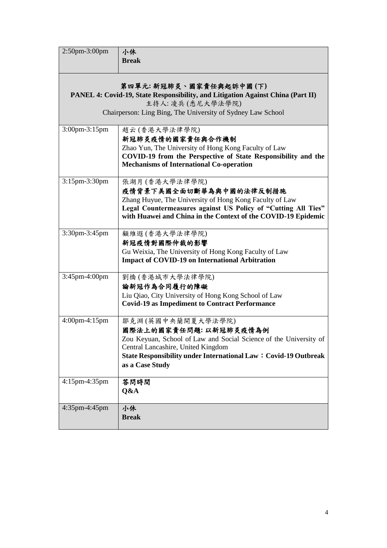| 2:50pm-3:00pm                                                                                                                                                                               | 小休                                                                                                                                                                                                                                                  |  |
|---------------------------------------------------------------------------------------------------------------------------------------------------------------------------------------------|-----------------------------------------------------------------------------------------------------------------------------------------------------------------------------------------------------------------------------------------------------|--|
|                                                                                                                                                                                             | <b>Break</b>                                                                                                                                                                                                                                        |  |
| 第四單元:新冠肺炎、國家責任與起訴中國(下)<br>PANEL 4: Covid-19, State Responsibility, and Litigation Against China (Part II)<br>主持人:凌兵(悉尼大學法學院)<br>Chairperson: Ling Bing, The University of Sydney Law School |                                                                                                                                                                                                                                                     |  |
| 3:00pm-3:15pm                                                                                                                                                                               | 趙云(香港大學法律學院)<br>新冠肺炎疫情的國家責任與合作機制<br>Zhao Yun, The University of Hong Kong Faculty of Law<br>COVID-19 from the Perspective of State Responsibility and the<br><b>Mechanisms of International Co-operation</b>                                        |  |
| 3:15pm-3:30pm                                                                                                                                                                               | 張湖月 (香港大學法律學院)<br>疫情背景下美國全面切斷華為與中國的法律反制措施<br>Zhang Huyue, The University of Hong Kong Faculty of Law<br>Legal Countermeasures against US Policy of "Cutting All Ties"<br>with Huawei and China in the Context of the COVID-19 Epidemic              |  |
| 3:30pm-3:45pm                                                                                                                                                                               | 顧維遐(香港大學法律學院)<br>新冠疫情對國際仲裁的影響<br>Gu Weixia, The University of Hong Kong Faculty of Law<br><b>Impact of COVID-19 on International Arbitration</b>                                                                                                    |  |
| 3:45pm-4:00pm                                                                                                                                                                               | 劉橋(香港城市大學法律學院)<br>論新冠作為合同履行的障礙<br>Liu Qiao, City University of Hong Kong School of Law<br><b>Covid-19 as Impediment to Contract Performance</b>                                                                                                     |  |
| 4:00pm-4:15pm                                                                                                                                                                               | 鄒克淵(英國中央蘭開夏大學法學院)<br>國際法上的國家責任問題: 以新冠肺炎疫情為例<br>Zou Keyuan, School of Law and Social Science of the University of<br>Central Lancashire, United Kingdom<br><b>State Responsibility under International Law: Covid-19 Outbreak</b><br>as a Case Study |  |
| 4:15pm-4:35pm                                                                                                                                                                               | 答問時間<br>Q&A                                                                                                                                                                                                                                         |  |
| 4:35pm-4:45pm                                                                                                                                                                               | 小休<br><b>Break</b>                                                                                                                                                                                                                                  |  |